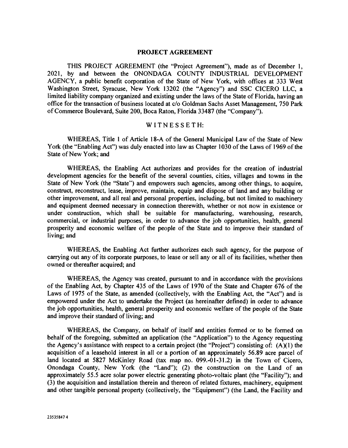#### PROJECT AGREEMENT

THIS PROJECT AGREEMENT (the "Project Agreement"), made as of December 1, 2021, by and between the ONONDAGA COUNTY INDUSTRIAL DEVELOPMENT AGENCY, a public benefit corporation of the State of New York, with offices at 333 West Washington Street, Syracuse, New York 13202 (the "Agency") and SSC CICERO LLC, a limited liability company organized and existing under the laws of the State of Florida, having an office for the transaction of business located at c/o Goldman Sachs Asset Management, 750 Park of Commerce Boulevard, Suite 200, Boca Raton, Florida 33487 (the "Company").

## WITNESSETH:

WHEREAS, Title 1 of Article 18-A of the General Municipal Law of the State of New York (the "Enabling Act") was duly enacted into law as Chapter 1030 of the Laws of 1969 of the State of New York; and

WHEREAS, the Enabling Act authorizes and provides for the creation of industrial development agencies for the benefit of the several counties, cities, villages and towns in the State of New York (the "State") and empowers such agencies, among other things, to acquire, construct, reconstruct, lease, improve, maintain, equip and dispose of land and any building or other improvement, and all real and personal properties, including, but not limited to machinery and equipment deemed necessary in connection therewith, whether or not now in existence or under construction, which shall be suitable for manufacturing, warehousing, research, commercial, or industrial purposes, in order to advance the job opportunities, health, general prosperity and economic welfare of the people of the State and to improve their standard of living; and

WHEREAS, the Enabling Act further authorizes each such agency, for the purpose of carrying out any of its corporate purposes, to lease or sell any or all of its facilities, whether then owned or thereafter acquired; and

WHEREAS, the Agency was created, pursuant to and in accordance with the provisions of the Enabling Act, by Chapter 435 of the Laws of 1970 of the State and Chapter 676 of the Laws of 1975 of the State, as amended (collectively, with the Enabling Act, the "Act") and is empowered under the Act to undertake the Project (as hereinafter defined) in order to advance the job opportunities, health, general prosperity and economic welfare of the people of the State and improve their standard of living; and

WHEREAS, the Company, on behalf of itself and entities formed or to be formed on behalf of the foregoing, submitted an application (the "Application") to the Agency requesting the Agency's assistance with respect to a certain project (the "Project") consisting of:  $(A)(1)$  the acquisition of a leasehold interest in all or a portion of an approximately 56.89 acre parcel of land located at 5827 McKinley Road (tax map no. 099.-01-31.2) in the Town of Cicero, Onondaga County, New York (the "Land"); (2) the construction on the Land of an approximately 55.5 acre solar power electric generating photo-voltaic plant (the "Facility"); and (3) the acquisition and installation therein and thereon of related fixtures, machinery, equipment and other tangible personal property (collectively, the "Equipment") (the Land, the Facility and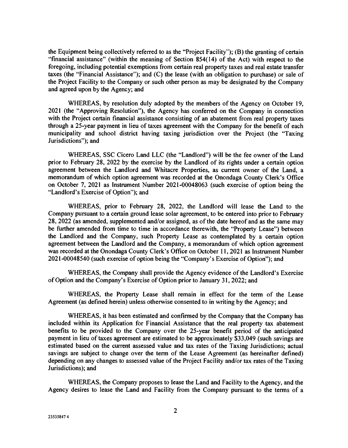the Equipment being collectively referred to as the "Project Facility"); (B) the granting of certain "financial assistance" (within the meaning of Section 854(14) of the Act) with respect to the foregoing, including potential exemptions from certain real property taxes and real estate transfer taxes (the "Financial Assistance"); and (C) the lease (with an obligation to purchase) or sale of the Project Facility to the Company or such other person as may be designated by the Company and agreed upon by the Agency; and

WHEREAS, by resolution duly adopted by the members of the Agency on October 19, 2021 (the "Approving Resolution"), the Agency has conferred on the Company in connection with the Project certain financial assistance consisting of an abatement from real property taxes through a 25-year payment in lieu of taxes agreement with the Company for the benefit of each municipality and school district having taxing jurisdiction over the Project (the "Taxing Jurisdictions"); and

WHEREAS, SSC Cicero Land LLC (the "Landlord") will be the fee owner of the Land prior to February 28, 2022 by the exercise by the Landlord of its rights under a certain option agreement between the Landlord and Whitacre Properties, as current owner of the Land, a memorandum of which option agreement was recorded at the Onondaga County Clerk's Office on October 7, 2021 as Instrument Number 2021-00048063 (such exercise of option being the "Landlord's Exercise of Option"); and

WHEREAS, prior to February 28, 2022, the Landlord will lease the Land to the Company pursuant to a certain ground lease solar agreement, to be entered into prior to February 28, 2022 (as amended, supplemented and/or assigned, as of the date hereof and as the same may be further amended from time to time in accordance therewith, the "Property Lease") between the Landlord and the Company, such Property Lease as contemplated by a certain option agreement between the Landlord and the Company, a memorandum of which option agreement was recorded at the Onondaga County Clerk's Office on October 11, 2021 as Instrument Number 2021-00048540 (such exercise of option being the "Company's Exercise of Option"); and

WHEREAS, the Company shall provide the Agency evidence of the Landlord's Exercise of Option and the Company's Exercise of Option prior to January 31, 2022; and

WHEREAS, the Property Lease shall remain in effect for the term of the Lease Agreement (as defined herein) unless otherwise consented to in writing by the Agency; and

WHEREAS, it has been estimated and confirmed by the Company that the Company has included within its Application for Financial Assistance that the real property tax abatement benefits to be provided to the Company over the 25-year benefit period of the anticipated payment in lieu of taxes agreement are estimated to be approximately \$33,049 (such savings are estimated based on the current assessed value and tax rates of the Taxing Jurisdictions; actual savings are subject to change over the term of the Lease Agreement (as hereinafter defined) depending on any changes to assessed value of the Project Facility and/or tax rates of the Taxing Jurisdictions); and

WHEREAS, the Company proposes to lease the Land and Facility to the Agency, and the Agency desires to lease the Land and Facility from the Company pursuant to the terms of a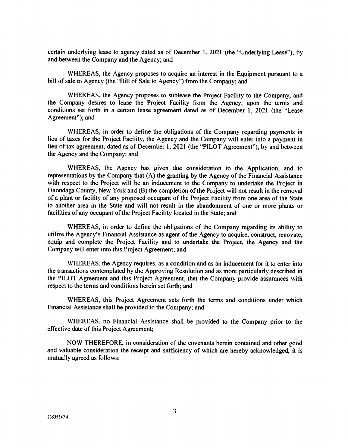certain underlying lease to agency dated as of December 1, 2021 (the "Underlying Lease"), by and between the Company and the Agency; and

WHEREAS, the Agency proposes to acquire an interest in the Equipment pursuant to a bill of sale to Agency (the "Bill of Sale to Agency") from the Company; and

WHEREAS, the Agency proposes to sublease the Project Facility to the Company, and the Company desires to lease the Project Facility from the Agency, upon the terms and conditions set forth in a certain lease agreement dated as of December 1, 2021 (the "Lease Agreement"); and

WHEREAS, in order to define the obligations of the Company regarding payments in lieu of taxes for the Project Facility, the Agency and the Company will enter into a payment in lieu of tax agreement, dated as of December 1, 2021 (the "PILOT Agreement"), by and between the Agency and the Company; and

WHEREAS, the Agency has given due consideration to the Application, and to representations by the Company that (A) the granting by the Agency of the Financial Assistance with respect to the Project will be an inducement to the Company to undertake the Project in Onondaga County, New York and (B) the completion of the Project will not result in the removal of a plant or facility of any proposed occupant of the Project Facility from one area of the State to another area in the State and will not result in the abandonment of one or more plants or facilities of any occupant of the Project Facility located in the State; and

WHEREAS, in order to define the obligations of the Company regarding its ability to utilize the Agency's Financial Assistance as agent of the Agency to acquire, construct, renovate, equip and complete the Project Facility and to undertake the Project, the Agency and the Company will enter into this Project Agreement; and

WHEREAS, the Agency requires, as a condition and as an inducement for it to enter into the transactions contemplated by the Approving Resolution and as more particularly described in the PILOT Agreement and this Project Agreement, that the Company provide assurances with respect to the terms and conditions herein set forth; and

WHEREAS, this Project Agreement sets forth the terms and conditions under which Financial Assistance shall be provided to the Company; and

WHEREAS, no Financial Assistance shall be provided to the Company prior to the effective date of this Project Agreement;

NOW THEREFORE, in consideration of the covenants herein contained and other good and valuable consideration the receipt and sufficiency of which are hereby acknowledged, it is mutually agreed as follows: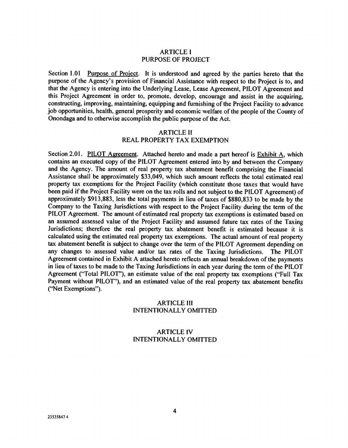#### ARTICLE I PURPOSE OF PROJECT

Section 1.01 Purpose of Project. It is understood and agreed by the parties hereto that the purpose of the Agency's provision of Financial Assistance with respect to the Project is to, and that the Agency is entering into the Underlying Lease, Lease Agreement, PILOT Agreement and this Project Agreement in order to, promote, develop, encourage and assist in the acquiring, constructing, improving, maintaining, equipping and furnishing of the Project Facility to advance job opportunities, health, general prosperity and economic welfare of the people of the County of Onondaga and to otherwise accomplish the public purpose of the Act.

#### ARTICLE II

### REAL PROPERTY TAX EXEMPTION

Section 2.01. PILOT Agreement. Attached hereto and made a part hereof is Exhibit A, which contains an executed copy of the PILOT Agreement entered into by and between the Company and the Agency. The amount of real property tax abatement benefit comprising the Financial Assistance shall be approximately \$33,049, which such amount reflects the total estimated real property tax exemptions for the Project Facility (which constitute those taxes that would have been paid if the Project Facility were on the tax rolls and not subject to the PILOT Agreement) of approximately \$913,883, less the total payments in lieu of taxes of \$880,833 to be made by the Company to the Taxing Jurisdictions with respect to the Project Facility during the term of the PILOT Agreement. The amount of estimated real property tax exemptions is estimated based on an assumed assessed value of the Project Facility and assumed future tax rates of the Taxing Jurisdictions; therefore the real property tax abatement benefit is estimated because it is calculated using the estimated real property tax exemptions. The actual amount of real property tax abatement benefit is subject to change over the term of the PILOT Agreement depending on any changes to assessed value and/or tax rates of the Taxing Jurisdictions. The PILOT Agreement contained in Exhibit A attached hereto reflects an annual breakdown of the payments in lieu of taxes to be made to the Taxing Jurisdictions in each year during the term of the PILOT Agreement ("Total PILOT"), an estimate value of the real property tax exemptions ("Full Tax Payment without PILOT"), and an estimated value of the real property tax abatement benefits ("Net Exemptions").

## ARTICLE III INTENTIONALLY OMITTED

## ARTICLE IV INTENTIONALLY OMITTED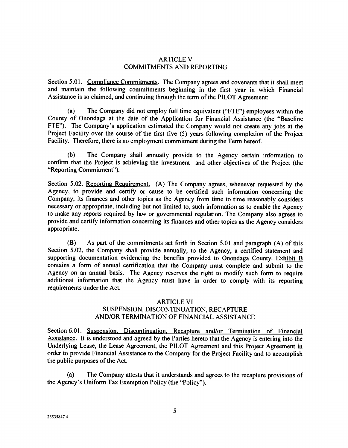### ARTICLE V COMMITMENTS AND REPORTING

Section 5.01. Compliance Commitments. The Company agrees and covenants that it shall meet and maintain the following commitments beginning in the first year in which Financial Assistance is so claimed, and continuing through the term of the PILOT Agreement:

(a) The Company did not employ full time equivalent ("FTE") employees within the County of Onondaga at the date of the Application for Financial Assistance (the "Baseline FTE"). The Company's application estimated the Company would not create any jobs at the Project Facility over the course of the first five (5) years following completion of the Project Facility. Therefore, there is no employment commitment during the Term hereof.

(b) The Company shall annually provide to the Agency certain information to confirm that the Project is achieving the investment and other objectives of the Project (the "Reporting Commitment").

Section 5.02. Reporting Requirement. (A) The Company agrees, whenever requested by the Agency, to provide and certify or cause to be certified such information concerning the Company, its finances and other topics as the Agency from time to time reasonably considers necessary or appropriate, including but not limited to, such information as to enable the Agency to make any reports required by law or governmental regulation. The Company also agrees to provide and certify information concerning its finances and other topics as the Agency considers appropriate.

(B) As part of the commitments set forth in Section 5.01 and paragraph (A) of this Section 5.02, the Company shall provide annually, to the Agency, a certified statement and supporting documentation evidencing the benefits provided to Onondaga County. Exhibit B contains a form of annual certification that the Company must complete and submit to the Agency on an annual basis. The Agency reserves the right to modify such form to require additional information that the Agency must have in order to comply with its reporting requirements under the Act.

#### ARTICLE VI

## SUSPENSION, DISCONTINUATION, RECAPTURE AND/OR TERMINATION OF FINANCIAL ASSISTANCE

Section 6.01. Suspension, Discontinuation, Recapture and/or Termination of Financial Assistance. It is understood and agreed by the Parties hereto that the Agency is entering into the Underlying Lease, the Lease Agreement, the PILOT Agreement and this Project Agreement in order to provide Financial Assistance to the Company for the Project Facility and to accomplish the public purposes of the Act.

(a) The Company attests that it understands and agrees to the recapture provisions of the Agency's Uniform Tax Exemption Policy (the "Policy").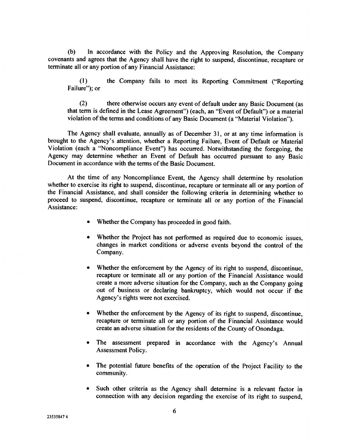(b) In accordance with the Policy and the Approving Resolution, the Company covenants and agrees that the Agency shall have the right to suspend, discontinue, recapture or terminate all or any portion of any Financial Assistance:

(1) the Company fails to meet its Reporting Commitment ("Reporting Failure"); or

(2) there otherwise occurs any event of default under any Basic Document (as that term is defined in the Lease Agreement") (each, an "Event of Default") or a material violation of the terms and conditions of any Basic Document (a "Material Violation").

The Agency shall evaluate, annually as of December 31, or at any time information is brought to the Agency's attention, whether a Reporting Failure, Event of Default or Material Violation (each a "Noncompliance Event") has occurred. Notwithstanding the foregoing, the Agency may determine whether an Event of Default has occurred pursuant to any Basic Document in accordance with the terms of the Basic Document.

At the time of any Noncompliance Event, the Agency shall determine by resolution whether to exercise its right to suspend, discontinue, recapture or terminate all or any portion of the Financial Assistance, and shall consider the following criteria in determining whether to proceed to suspend, discontinue, recapture or terminate all or any portion of the Financial Assistance:

- Whether the Company has proceeded in good faith.
- Whether the Project has not performed as required due to economic issues, changes in market conditions or adverse events beyond the control of the Company.
- Whether the enforcement by the Agency of its right to suspend, discontinue, recapture or terminate all or any portion of the Financial Assistance would create a more adverse situation for the Company, such as the Company going out of business or declaring bankruptcy, which would not occur if the Agency's rights were not exercised.
- Whether the enforcement by the Agency of its right to suspend, discontinue, recapture or terminate all or any portion of the Financial Assistance would create an adverse situation for the residents of the County of Onondaga.
- The assessment prepared in accordance with the Agency's Annual Assessment Policy.
- The potential future benefits of the operation of the Project Facility to the community.
- Such other criteria as the Agency shall determine is a relevant factor in connection with any decision regarding the exercise of its right to suspend,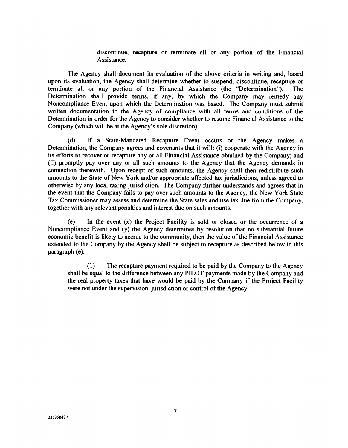discontinue, recapture or terminate all or any portion of the Financial Assistance.

The Agency shall document its evaluation of the above criteria in writing and, based upon its evaluation, the Agency shall determine whether to suspend, discontinue, recapture or terminate all or any portion of the Financial Assistance (the "Determination"). The Determination shall provide terms, if any, by which the Company may remedy any Noncompliance Event upon which the Determination was based. The Company must submit written documentation to the Agency of compliance with all terms and conditions of the Determination in order for the Agency to consider whether to resume Financial Assistance to the Company (which will be at the Agency's sole discretion).

(d) If a State-Mandated Recapture Event occurs or the Agency makes a Determination, the Company agrees and covenants that it will: (i) cooperate with the Agency in its efforts to recover or recapture any or all Financial Assistance obtained by the Company; and (ii) promptly pay over any or all such amounts to the Agency that the Agency demands in connection therewith. Upon receipt of such amounts, the Agency shall then redistribute such amounts to the State of New York and/or appropriate affected tax jurisdictions, unless agreed to otherwise by any local taxing jurisdiction. The Company further understands and agrees that in the event that the Company fails to pay over such amounts to the Agency, the New York State Tax Commissioner may assess and determine the State sales and use tax due from the Company, together with any relevant penalties and interest due on such amounts.

(e) In the event (x) the Project Facility is sold or closed or the occurrence of a Noncompliance Event and (y) the Agency determines by resolution that no substantial future economic benefit is likely to accrue to the community, then the value of the Financial Assistance extended to the Company by the Agency shall be subject to recapture as described below in this paragraph (e).

(1) The recapture payment required to be paid by the Company to the Agency shall be equal to the difference between any PILOT payments made by the Company and the real property taxes that have would be paid by the Company if the Project Facility were not under the supervision, jurisdiction or control of the Agency.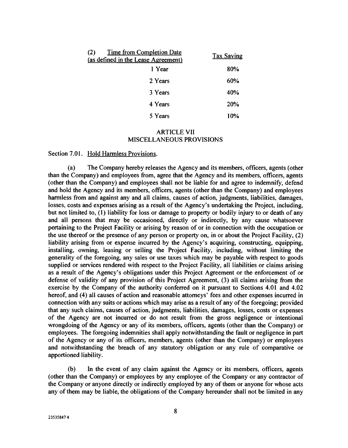| <b>Time from Completion Date</b><br>(2)<br>(as defined in the Lease Agreement) | <b>Tax Saving</b> |
|--------------------------------------------------------------------------------|-------------------|
| 1 Year                                                                         | 80%               |
| 2 Years                                                                        | 60%               |
| 3 Years                                                                        | 40%               |
| 4 Years                                                                        | 20%               |
| 5 Years                                                                        | 10%               |

#### ARTICLE VII MISCELLANEOUS PROVISIONS

#### Section 7.01. Hold Harmless Provisions.

(a) The Company hereby releases the Agency and its members, officers, agents (other than the Company) and employees from, agree that the Agency and its members, officers, agents (other than the Company) and employees shall not be liable for and agree to indemnify, defend and hold the Agency and its members, officers, agents (other than the Company) and employees harmless from and against any and all claims, causes of action, judgments, liabilities, damages, losses, costs and expenses arising as a result of the Agency's undertaking the Project, including, but not limited to, (1) liability for loss or damage to property or bodily injury to or death of any and all persons that may be occasioned, directly or indirectly, by any cause whatsoever pertaining to the Project Facility or arising by reason of or in connection with the occupation or the use thereof or the presence of any person or property on, in or about the Project Facility, (2) liability arising from or expense incurred by the Agency's acquiring, constructing, equipping, installing, owning, leasing or selling the Project Facility, including, without limiting the generality of the foregoing, any sales or use taxes which may be payable with respect to goods supplied or services rendered with respect to the Project Facility, all liabilities or claims arising as a result of the Agency's obligations under this Project Agreement or the enforcement of or defense of validity of any provision of this Project Agreement, (3) all claims arising from the exercise by the Company of the authority conferred on it pursuant to Sections 4.01 and 4.02 hereof, and (4) all causes of action and reasonable attorneys' fees and other expenses incurred in connection with any suits or actions which may arise as a result of any of the foregoing; provided that any such claims, causes of action, judgments, liabilities, damages, losses, costs or expenses of the Agency are not incurred or do not result from the gross negligence or intentional wrongdoing of the Agency or any of its members, officers, agents (other than the Company) or employees. The foregoing indemnities shall apply notwithstanding the fault or negligence in part of the Agency or any of its officers, members, agents (other than the Company) or employees and notwithstanding the breach of any statutory obligation or any rule of comparative or apportioned liability.

(b) In the event of any claim against the Agency or its members, officers, agents (other than the Company) or employees by any employee of the Company or any contractor of the Company or anyone directly or indirectly employed by any of them or anyone for whose acts any of them may be liable, the obligations of the Company hereunder shall not be limited in any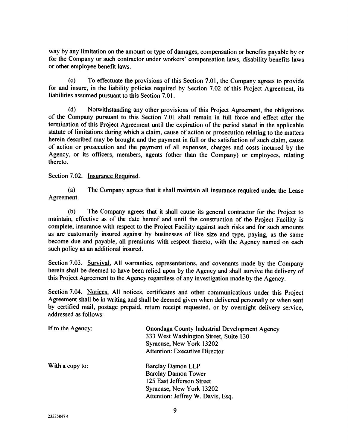way by any limitation on the amount or type of damages, compensation or benefits payable by or for the Company or such contractor under workers' compensation laws, disability benefits laws or other employee benefit laws.

(c) To effectuate the provisions of this Section 7.01, the Company agrees to provide for and insure, in the liability policies required by Section 7.02 of this Project Agreement, its liabilities assumed pursuant to this Section 7.01.

(d) Notwithstanding any other provisions of this Project Agreement, the obligations of the Company pursuant to this Section 7.01 shall remain in full force and effect after the termination of this Project Agreement until the expiration of the period stated in the applicable statute of limitations during which a claim, cause of action or prosecution relating to the matters herein described may be brought and the payment in full or the satisfaction of such claim, cause of action or prosecution and the payment of all expenses, charges and costs incurred by the Agency, or its officers, members, agents (other than the Company) or employees, relating thereto.

Section 7.02. Insurance Required.

(a) The Company agrees that it shall maintain all insurance required under the Lease Agreement.

(b) The Company agrees that it shall cause its general contractor for the Project to maintain, effective as of the date hereof and until the construction of the Project Facility is complete, insurance with respect to the Project Facility against such risks and for such amounts as are customarily insured against by businesses of like size and type, paying, as the same become due and payable, all premiums with respect thereto, with the Agency named on each such policy as an additional insured.

Section 7.03. Survival. All warranties, representations, and covenants made by the Company herein shall be deemed to have been relied upon by the Agency and shall survive the delivery of this Project Agreement to the Agency regardless of any investigation made by the Agency.

Section 7.04. Notices. All notices, certificates and other communications under this Project Agreement shall be in writing and shall be deemed given when delivered personally or when sent by certified mail, postage prepaid, return receipt requested, or by overnight delivery service, addressed as follows:

| If to the Agency: | <b>Onondaga County Industrial Development Agency</b><br>333 West Washington Street, Suite 130<br>Syracuse, New York 13202<br><b>Attention: Executive Director</b> |  |
|-------------------|-------------------------------------------------------------------------------------------------------------------------------------------------------------------|--|
| With a copy to:   | <b>Barclay Damon LLP</b>                                                                                                                                          |  |
|                   | <b>Barclay Damon Tower</b>                                                                                                                                        |  |
|                   | 125 East Jefferson Street                                                                                                                                         |  |
|                   | Syracuse, New York 13202                                                                                                                                          |  |
|                   | Attention: Jeffrey W. Davis, Esq.                                                                                                                                 |  |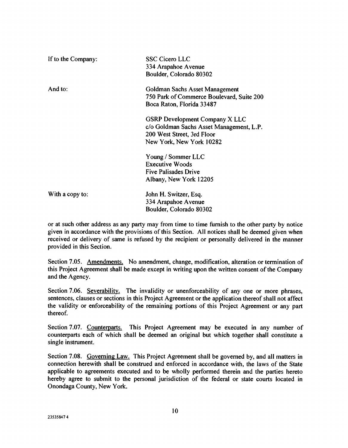| If to the Company: | <b>SSC Cicero LLC</b><br>334 Arapahoe Avenue<br>Boulder, Colorado 80302                                                                     |
|--------------------|---------------------------------------------------------------------------------------------------------------------------------------------|
| And to:            | Goldman Sachs Asset Management<br>750 Park of Commerce Boulevard, Suite 200<br>Boca Raton, Florida 33487                                    |
|                    | <b>GSRP Development Company X LLC</b><br>c/o Goldman Sachs Asset Management, L.P.<br>200 West Street, 3rd Floor<br>New York, New York 10282 |
|                    | Young / Sommer LLC<br><b>Executive Woods</b><br><b>Five Palisades Drive</b><br>Albany, New York 12205                                       |
| With a copy to:    | John H. Switzer, Esq.<br>334 Arapahoe Avenue<br>Boulder, Colorado 80302                                                                     |

or at such other address as any party may from time to time furnish to the other party by notice given in accordance with the provisions of this Section. All notices shall be deemed given when received or delivery of same is refused by the recipient or personally delivered in the manner provided in this Section.

Section 7.05. Amendments. No amendment, change, modification, alteration or termination of this Project Agreement shall be made except in writing upon the written consent of the Company and the Agency.

Section 7.06. Severability. The invalidity or unenforceability of any one or more phrases, sentences, clauses or sections in this Project Agreement or the application thereof shall not affect the validity or enforceability of the remaining portions of this Project Agreement or any part thereof.

Section 7.07. Counterparts. This Project Agreement may be executed in any number of counterparts each of which shall be deemed an original but which together shall constitute a single instrument.

Section 7.08. Governing Law. This Project Agreement shall be governed by, and all matters in connection herewith shall be construed and enforced in accordance with, the laws of the State applicable to agreements executed and to be wholly performed therein and the parties hereto hereby agree to submit to the personal jurisdiction of the federal or state courts located in Onondaga County, New York.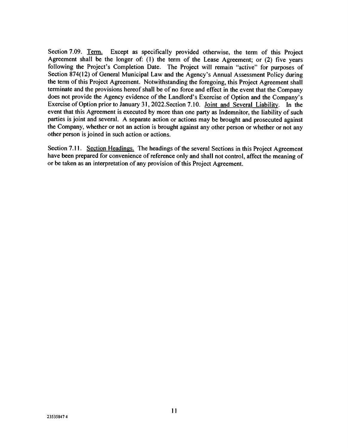Section 7.09. Term. Except as specifically provided otherwise, the term of this Project Agreement shall be the longer of: (1) the term of the Lease Agreement; or (2) five years following the Project's Completion Date. The Project will remain "active" for purposes of Section 874(12) of General Municipal Law and the Agency's Annual Assessment Policy during the term of this Project Agreement. Notwithstanding the foregoing, this Project Agreement shall terminate and the provisions hereof shall be of no force and effect in the event that the Company does not provide the Agency evidence of the Landlord's Exercise of Option and the Company's Exercise of Option prior to January 31, 2022.Section 7.10. Joint and Several Liability. In the event that this Agreement is executed by more than one party as Indemnitor, the liability of such parties is joint and several. A separate action or actions may be brought and prosecuted against the Company, whether or not an action is brought against any other person or whether or not any other person is joined in such action or actions.

Section 7.11. Section Headings. The headings of the several Sections in this Project Agreement have been prepared for convenience of reference only and shall not control, affect the meaning of or be taken as an interpretation of any provision of this Project Agreement.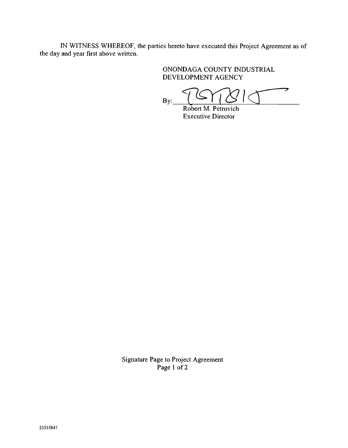IN WITNESS WHEREOF, the parties hereto have executed this Project Agreement as of the day and year first above written.

> ONONDAGA COUNTY INDUSTRIAL DEVELOPMENT AGENCY

⇁ By: Robert M. Petrovich

Executive Director

Signature Page to Project Agreement Page 1 of 2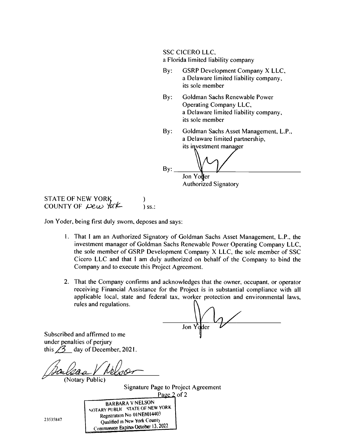SSC CICERO LLC,

a Florida limited liability company

- By: GSRP Development Company X LLC, a Delaware limited liability company, its sole member
- By: Goldman Sachs Renewable Power Operating Company LLC, a Delaware limited liability company, its sole member
- By: Goldman Sachs Asset Management, L.P., a Delaware limited partnership, its investment manager

By: Jon Youer Authorized Signatory

**STATE OF NEW YORK** COUNTY OF  $\mu$ e $\mu$   $\gamma$ ark iss.:

Jon Yoder, being first duly sworn, deposes and says:

- 1. That I am an Authorized Signatory of Goldman Sachs Asset Management, L.P., the investment manager of Goldman Sachs Renewable Power Operating Company LLC, the sole member of GSRP Development Company X LLC, the sole member of SSC Cicero LLC and that I am duly authorized on behalf of the Company to bind the Company and to execute this Project Agreement.
- 2. That the Company confirms and acknowledges that the owner, occupant, or operator receiving Financial Assistance for the Project is in substantial compliance with all applicable local, state and federal tax, worker protection and environmental laws, rules and regulations.

Jon

Subscribed and affirmed to me under penalties of perjury this  $\angle 3$  day of December, 2021.

(Notary Public)

Signature Page to Project Agreement Page 2 of 2

| 5847 | <b>BARBARA V NELSON</b><br>NOTARY PUBLIC STATE OF NEW YORK<br>Registration No 01NE6014403<br>Qualified in New York County |
|------|---------------------------------------------------------------------------------------------------------------------------|
|      |                                                                                                                           |
|      | Commission Expires October 13, 2022                                                                                       |

2353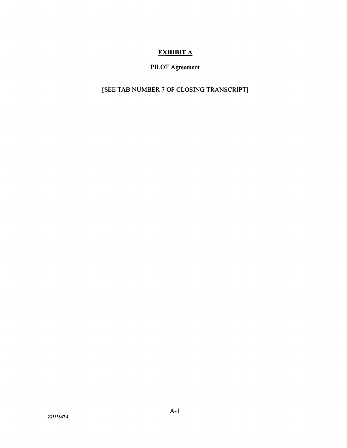# EXHIBIT A

# PILOT Agreement

# [SEE TAB NUMBER 7 OF CLOSING TRANSCRIPT]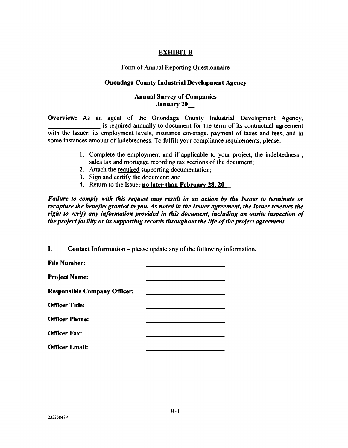## EXHIBIT B

Form of Annual Reporting Questionnaire

### Onondaga County Industrial Development Agency

## Annual Survey of Companies January 20\_

Overview: As an agent of the Onondaga County Industrial Development Agency, is required annually to document for the term of its contractual agreement with the Issuer: its employment levels, insurance coverage, payment of taxes and fees, and in some instances amount of indebtedness. To fulfill your compliance requirements, please:

- 1. Complete the employment and if applicable to your project, the indebtedness, sales tax and mortgage recording tax sections of the document;
- 2. Attach the required supporting documentation;
- 3. Sign and certify the document; and
- 4. Return to the Issuer no later than February 28. 20

Failure to comply with this request may result in an action by the Issuer to terminate or recapture the benefits granted to you. As noted in the Issuer agreement, the Issuer reserves the right to verify any information provided in this document, including an onsite inspection of the project facility or its supporting records throughout the life of the project agreement

I. Contact Information - please update any of the following information.

| <b>File Number:</b>                 |  |
|-------------------------------------|--|
| <b>Project Name:</b>                |  |
| <b>Responsible Company Officer:</b> |  |
| <b>Officer Title:</b>               |  |
| <b>Officer Phone:</b>               |  |
| <b>Officer Fax:</b>                 |  |
| <b>Officer Email:</b>               |  |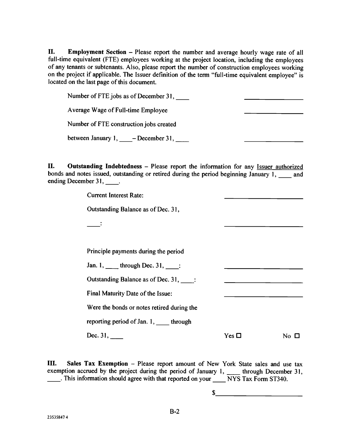II. Employment Section - Please report the number and average hourly wage rate of all full-time equivalent (FTE) employees working at the project location, including the employees of any tenants or subtenants. Also, please report the number of construction employees working on the project if applicable. The Issuer definition of the term "full-time equivalent employee" is located on the last page of this document.

Number of FTE jobs as of December 31, Average Wage of Full-time Employee Number of FTE construction jobs created between January 1, \_\_\_\_\_- December 31,

II. Outstanding Indebtedness - Please report the information for any Issuer authorized bonds and notes issued, outstanding or retired during the period beginning January 1, \_\_\_\_ and ending December 31,  $\qquad \qquad$ .

Current Interest Rate:

Outstanding Balance as of Dec. 31,

Principle payments during the period

Jan. 1, \_\_\_\_\_ through Dec. 31, \_\_\_\_:

Outstanding Balance as of Dec. 31,

Final Maturity Date of the Issue:

Were the bonds or notes retired during the

reporting period of Jan. 1, \_\_\_\_ through

Dec.  $31,$ 

No  $\Box$ 

LII. Sales Tax Exemption - Please report amount of New York State sales and use tax exemption accrued by the project during the period of January 1,  $\quad$  through December 31,  $\frac{1}{1}$ . This information should agree with that reported on your  $\frac{1}{1}$  NYS Tax Form ST340.

> \$ <u> 1990 - Jan James James Barbara, politik politik (</u>

Yes  $\square$